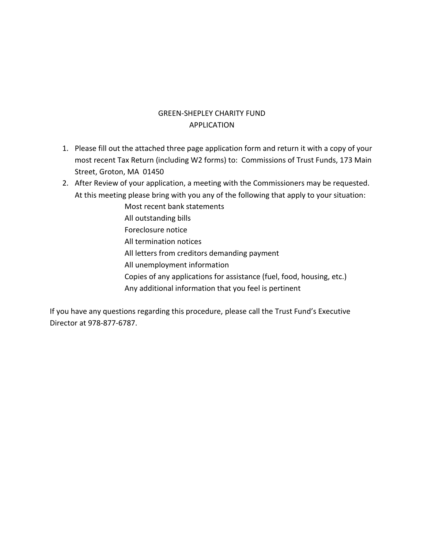## GREEN-SHEPLEY CHARITY FUND APPLICATION

- 1. Please fill out the attached three page application form and return it with a copy of your most recent Tax Return (including W2 forms) to: Commissions of Trust Funds, 173 Main Street, Groton, MA 01450
- 2. After Review of your application, a meeting with the Commissioners may be requested. At this meeting please bring with you any of the following that apply to your situation:
	- Most recent bank statements
	- All outstanding bills
	- Foreclosure notice
	- All termination notices
	- All letters from creditors demanding payment
	- All unemployment information
	- Copies of any applications for assistance (fuel, food, housing, etc.)
	- Any additional information that you feel is pertinent

If you have any questions regarding this procedure, please call the Trust Fund's Executive Director at 978-877-6787.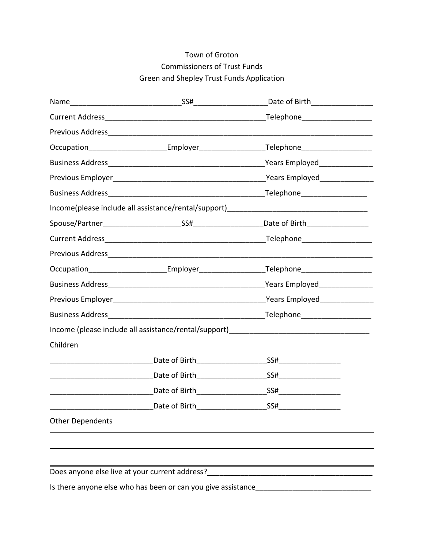## Town of Groton Commissioners of Trust Funds Green and Shepley Trust Funds Application

|                         | Name <u> Example 10</u> SS# SS# 2018 Date of Birth 2018                                             |
|-------------------------|-----------------------------------------------------------------------------------------------------|
|                         |                                                                                                     |
|                         |                                                                                                     |
|                         | Occupation_________________________Employer________________________Telephone_______________________ |
|                         | Years Employed________________                                                                      |
|                         |                                                                                                     |
|                         |                                                                                                     |
|                         | Income(please include all assistance/rental/support) ____________________________                   |
|                         |                                                                                                     |
|                         |                                                                                                     |
|                         |                                                                                                     |
|                         |                                                                                                     |
|                         |                                                                                                     |
|                         |                                                                                                     |
|                         | _Telephone_____________________                                                                     |
|                         |                                                                                                     |
| Children                |                                                                                                     |
|                         | SS#___________________                                                                              |
|                         |                                                                                                     |
|                         |                                                                                                     |
|                         |                                                                                                     |
| <b>Other Dependents</b> |                                                                                                     |
|                         |                                                                                                     |
|                         |                                                                                                     |
|                         |                                                                                                     |
|                         |                                                                                                     |

Is there anyone else who has been or can you give assistance\_\_\_\_\_\_\_\_\_\_\_\_\_\_\_\_\_\_\_\_\_\_\_\_\_\_\_\_